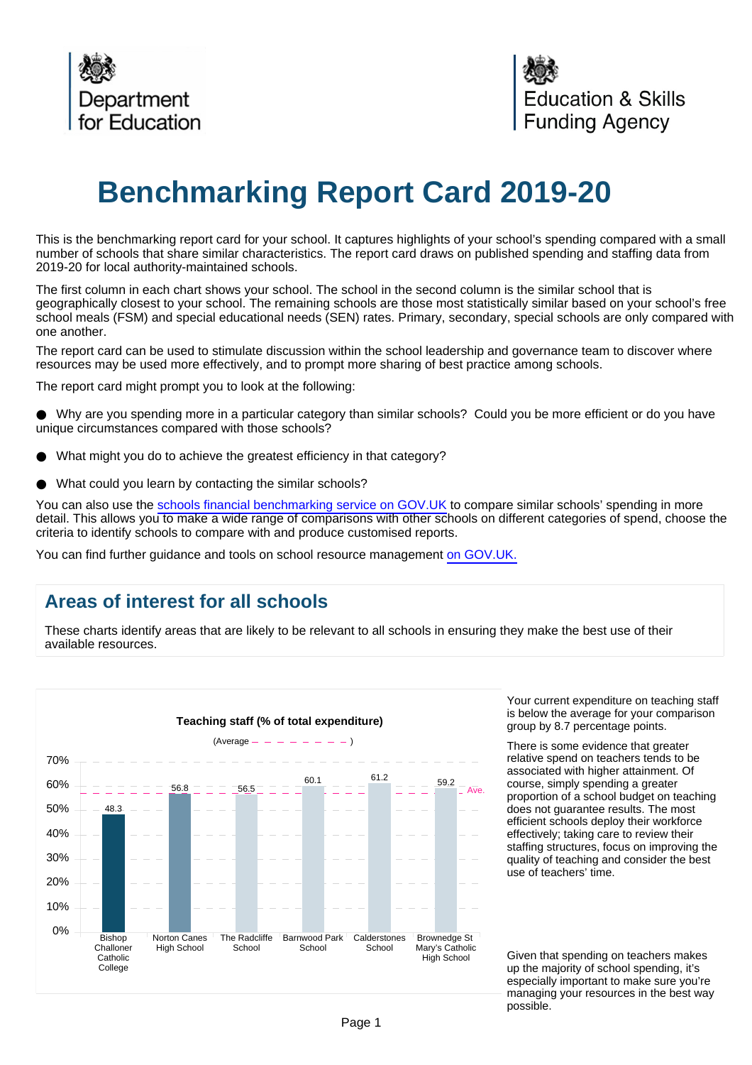

# **Benchmarking Report Card 2019-20**

This is the benchmarking report card for your school. It captures highlights of your school's spending compared with a small number of schools that share similar characteristics. The report card draws on published spending and staffing data from 2019-20 for local authority-maintained schools.

The first column in each chart shows your school. The school in the second column is the similar school that is geographically closest to your school. The remaining schools are those most statistically similar based on your school's free school meals (FSM) and special educational needs (SEN) rates. Primary, secondary, special schools are only compared with one another.

The report card can be used to stimulate discussion within the school leadership and governance team to discover where resources may be used more effectively, and to prompt more sharing of best practice among schools.

The report card might prompt you to look at the following:

Why are you spending more in a particular category than similar schools? Could you be more efficient or do you have unique circumstances compared with those schools?

- What might you do to achieve the greatest efficiency in that category?
- What could you learn by contacting the similar schools?

You can also use the [schools financial benchmarking service on GOV.UK](https://schools-financial-benchmarking.service.gov.uk/?utm_source=brc_academies_18-19&utm_medium=email) to compare similar schools' spending in more detail. This allows you to make a wide range of comparisons with other schools on different categories of spend, choose the criteria to identify schools to compare with and produce customised reports.

You can find further guidance and tools on school resource management [on GOV.UK.](https://www.gov.uk/government/collections/schools-financial-health-and-efficiency)

## **Areas of interest for all schools**

These charts identify areas that are likely to be relevant to all schools in ensuring they make the best use of their available resources.



Your current expenditure on teaching staff is below the average for your comparison group by 8.7 percentage points.

There is some evidence that greater relative spend on teachers tends to be associated with higher attainment. Of course, simply spending a greater proportion of a school budget on teaching does not guarantee results. The most efficient schools deploy their workforce effectively; taking care to review their staffing structures, focus on improving the quality of teaching and consider the best use of teachers' time.

Given that spending on teachers makes up the majority of school spending, it's especially important to make sure you're managing your resources in the best way possible.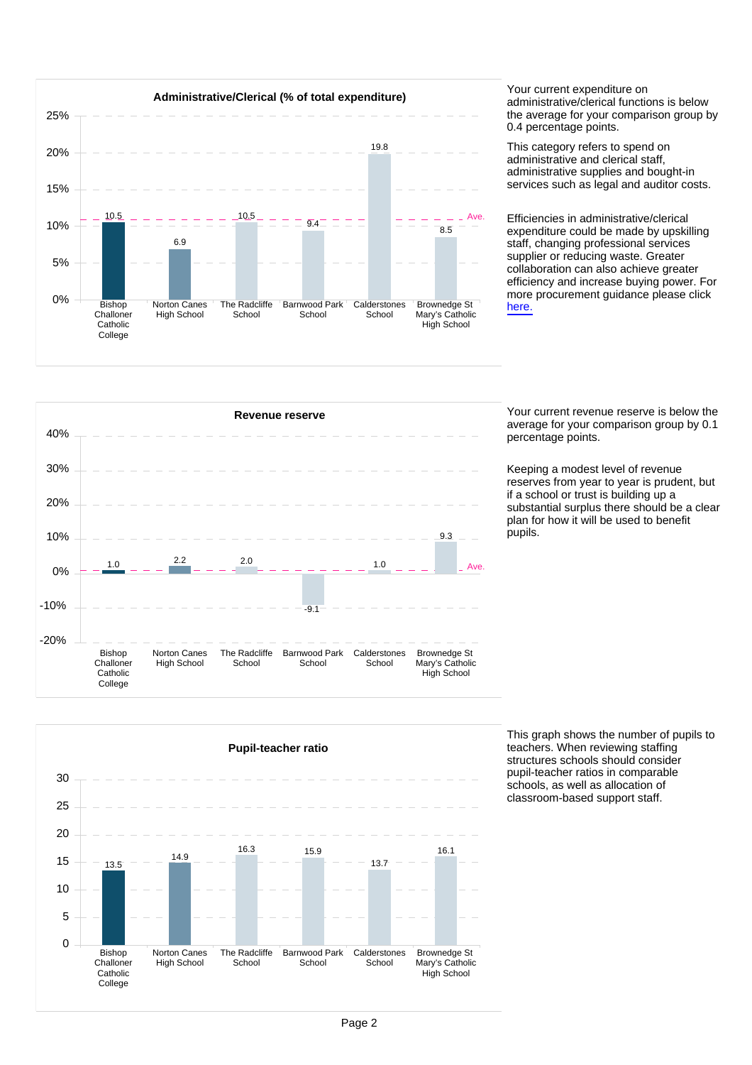

administrative/clerical functions is below the average for your comparison group by 0.4 percentage points.

This category refers to spend on administrative and clerical staff, administrative supplies and bought-in services such as legal and auditor costs.

Efficiencies in administrative/clerical expenditure could be made by upskilling staff, changing professional services supplier or reducing waste. Greater collaboration can also achieve greater efficiency and increase buying power. For more procurement guidance please click [here.](https://www.gov.uk/guidance/buying-for-schools)



average for your comparison group by 0.1 percentage points.

Keeping a modest level of revenue reserves from year to year is prudent, but if a school or trust is building up a substantial surplus there should be a clear plan for how it will be used to benefit .<br>pupils.



This graph shows the number of pupils to teachers. When reviewing staffing structures schools should consider pupil-teacher ratios in comparable schools, as well as allocation of classroom-based support staff.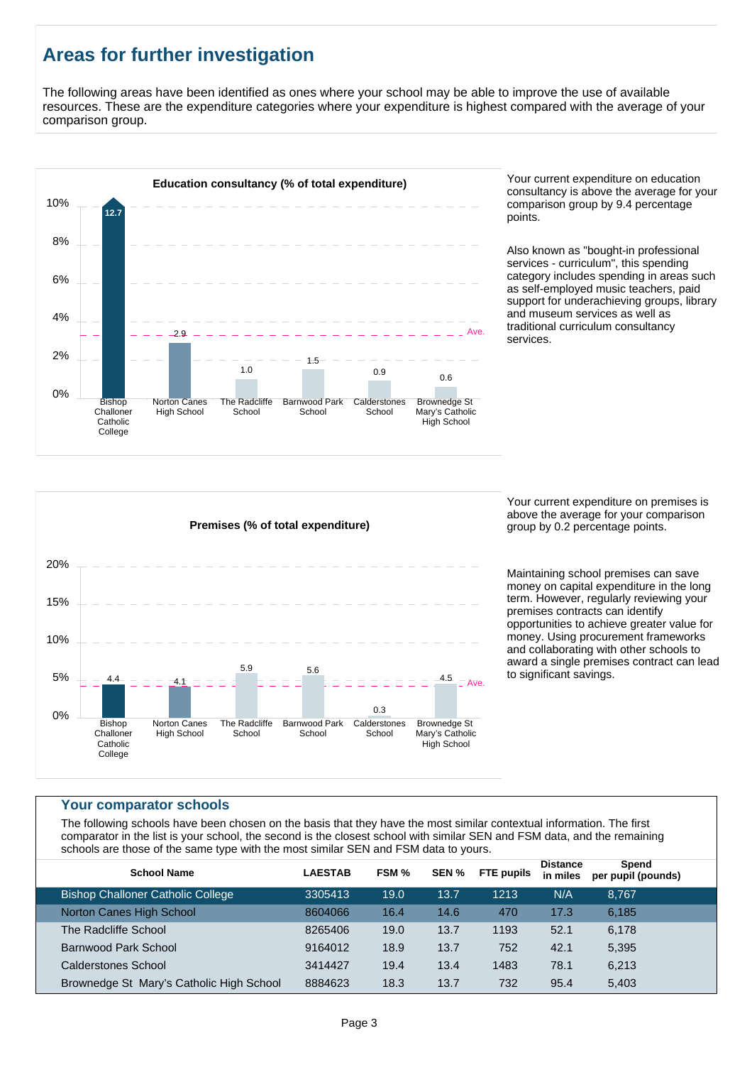# **Areas for further investigation**

The following areas have been identified as ones where your school may be able to improve the use of available resources. These are the expenditure categories where your expenditure is highest compared with the average of your comparison group.



consultancy is above the average for your comparison group by 9.4 percentage points.

Also known as "bought-in professional services - curriculum", this spending category includes spending in areas such as self-employed music teachers, paid support for underachieving groups, library and museum services as well as traditional curriculum consultancy services.



Your current expenditure on premises is above the average for your comparison group by 0.2 percentage points.

Maintaining school premises can save money on capital expenditure in the long term. However, regularly reviewing your premises contracts can identify opportunities to achieve greater value for money. Using procurement frameworks and collaborating with other schools to award a single premises contract can lead to significant savings.

#### **Your comparator schools**

The following schools have been chosen on the basis that they have the most similar contextual information. The first comparator in the list is your school, the second is the closest school with similar SEN and FSM data, and the remaining schools are those of the same type with the most similar SEN and FSM data to yours.

| <b>School Name</b>                       | <b>LAESTAB</b> | FSM % | SEN % | <b>FTE pupils</b> | <b>Distance</b><br>in miles | Spend<br>per pupil (pounds) |  |
|------------------------------------------|----------------|-------|-------|-------------------|-----------------------------|-----------------------------|--|
| <b>Bishop Challoner Catholic College</b> | 3305413        | 19.0  | 13.7  | 1213              | N/A                         | 8.767                       |  |
| Norton Canes High School                 | 8604066        | 16.4  | 14.6  | 470               | 17.3                        | 6.185                       |  |
| The Radcliffe School                     | 8265406        | 19.0  | 13.7  | 1193              | 52.1                        | 6,178                       |  |
| Barnwood Park School                     | 9164012        | 18.9  | 13.7  | 752               | 42.1                        | 5,395                       |  |
| Calderstones School                      | 3414427        | 19.4  | 13.4  | 1483              | 78.1                        | 6,213                       |  |
| Brownedge St Mary's Catholic High School | 8884623        | 18.3  | 13.7  | 732               | 95.4                        | 5,403                       |  |